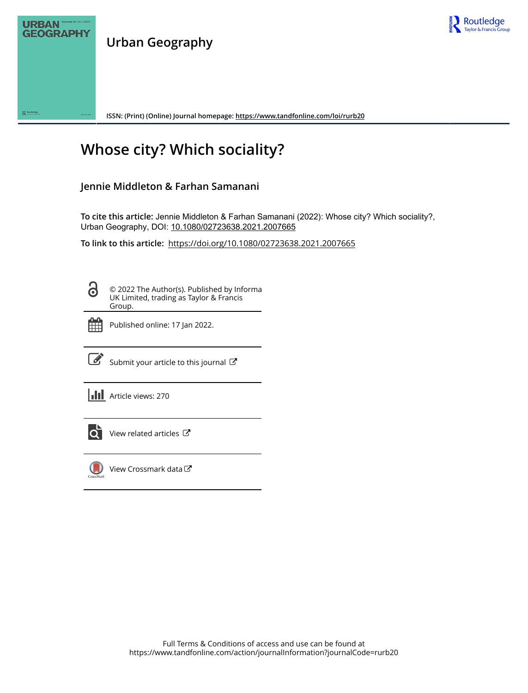

**Urban Geography**



**ISSN: (Print) (Online) Journal homepage:<https://www.tandfonline.com/loi/rurb20>**

# **Whose city? Which sociality?**

# **Jennie Middleton & Farhan Samanani**

**To cite this article:** Jennie Middleton & Farhan Samanani (2022): Whose city? Which sociality?, Urban Geography, DOI: [10.1080/02723638.2021.2007665](https://www.tandfonline.com/action/showCitFormats?doi=10.1080/02723638.2021.2007665)

**To link to this article:** <https://doi.org/10.1080/02723638.2021.2007665>

8

© 2022 The Author(s). Published by Informa UK Limited, trading as Taylor & Francis Group.



Published online: 17 Jan 2022.



 $\overrightarrow{S}$  [Submit your article to this journal](https://www.tandfonline.com/action/authorSubmission?journalCode=rurb20&show=instructions)  $\overrightarrow{S}$ 

**III** Article views: 270



 $\overrightarrow{Q}$  [View related articles](https://www.tandfonline.com/doi/mlt/10.1080/02723638.2021.2007665)  $\overrightarrow{C}$ 



[View Crossmark data](http://crossmark.crossref.org/dialog/?doi=10.1080/02723638.2021.2007665&domain=pdf&date_stamp=2022-01-17) $\mathbb{Z}$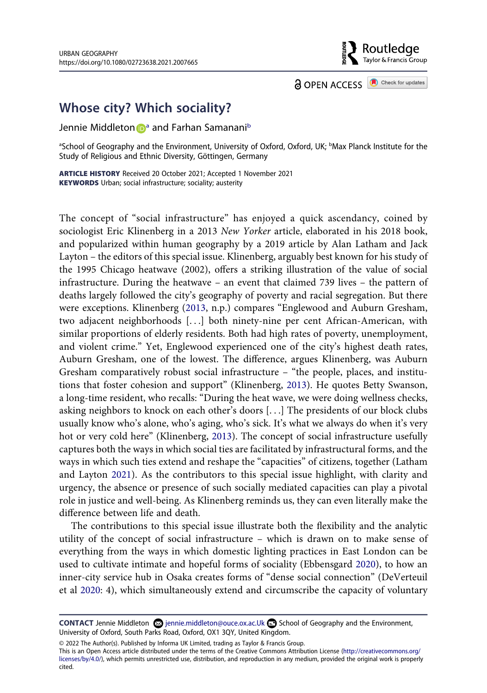**a** OPEN ACCESS **a** Check for updates

Routledae Taylor & Francis Group

# **Whose city? Which sociality?**

## Jennie Middleton **D**<sup>[a](#page-1-0)</sup> and Farhan Samanani<sup>b</sup>

<span id="page-1-0"></span><sup>a</sup>School of Geography and the Environment, University of Oxford, Oxford, UK; <sup>b</sup>Max Planck Institute for the Study of Religious and Ethnic Diversity, Göttingen, Germany

**ARTICLE HISTORY** Received 20 October 2021; Accepted 1 November 2021 **KEYWORDS** Urban; social infrastructure; sociality; austerity

The concept of "social infrastructure" has enjoyed a quick ascendancy, coined by sociologist Eric Klinenberg in a 2013 *New Yorker* article, elaborated in his 2018 book, and popularized within human geography by a 2019 article by Alan Latham and Jack Layton – the editors of this special issue. Klinenberg, arguably best known for his study of the 1995 Chicago heatwave (2002), offers a striking illustration of the value of social infrastructure. During the heatwave – an event that claimed 739 lives – the pattern of deaths largely followed the city's geography of poverty and racial segregation. But there were exceptions. Klinenberg [\(2013](#page-7-0), n.p.) compares "Englewood and Auburn Gresham, two adjacent neighborhoods [. . .] both ninety-nine per cent African-American, with similar proportions of elderly residents. Both had high rates of poverty, unemployment, and violent crime." Yet, Englewood experienced one of the city's highest death rates, Auburn Gresham, one of the lowest. The difference, argues Klinenberg, was Auburn Gresham comparatively robust social infrastructure – "the people, places, and institutions that foster cohesion and support" (Klinenberg, [2013\)](#page-7-0). He quotes Betty Swanson, a long-time resident, who recalls: "During the heat wave, we were doing wellness checks, asking neighbors to knock on each other's doors [. . .] The presidents of our block clubs usually know who's alone, who's aging, who's sick. It's what we always do when it's very hot or very cold here" (Klinenberg, [2013\)](#page-7-0). The concept of social infrastructure usefully captures both the ways in which social ties are facilitated by infrastructural forms, and the ways in which such ties extend and reshape the "capacities" of citizens, together (Latham and Layton [2021](#page-7-1)). As the contributors to this special issue highlight, with clarity and urgency, the absence or presence of such socially mediated capacities can play a pivotal role in justice and well-being. As Klinenberg reminds us, they can even literally make the difference between life and death.

<span id="page-1-4"></span><span id="page-1-3"></span><span id="page-1-2"></span>The contributions to this special issue illustrate both the flexibility and the analytic utility of the concept of social infrastructure – which is drawn on to make sense of everything from the ways in which domestic lighting practices in East London can be used to cultivate intimate and hopeful forms of sociality (Ebbensgard [2020\)](#page-7-2), to how an inner-city service hub in Osaka creates forms of "dense social connection" (DeVerteuil et al [2020:](#page-7-3) 4), which simultaneously extend and circumscribe the capacity of voluntary

This is an Open Access article distributed under the terms of the Creative Commons Attribution License (http://creativecommons.org/ licenses/by/4.0/), which permits unrestricted use, distribution, and reproduction in any medium, provided the original work is properly cited.

<span id="page-1-1"></span>**CONTACT** Jennie Middleton  $\Omega$  jennie.middleton@ouce.ox.ac.Uk  $\Omega$  School of Geography and the Environment, University of Oxford, South Parks Road, Oxford, OX1 3QY, United Kingdom.

<sup>© 2022</sup> The Author(s). Published by Informa UK Limited, trading as Taylor & Francis Group.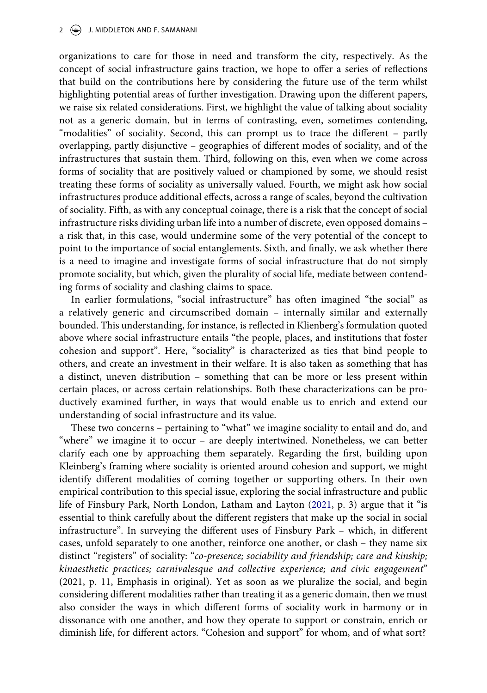#### 2  $\left(\frac{1}{2}\right)$  J. MIDDLETON AND F. SAMANANI

organizations to care for those in need and transform the city, respectively. As the concept of social infrastructure gains traction, we hope to offer a series of reflections that build on the contributions here by considering the future use of the term whilst highlighting potential areas of further investigation. Drawing upon the different papers, we raise six related considerations. First, we highlight the value of talking about sociality not as a generic domain, but in terms of contrasting, even, sometimes contending, "modalities" of sociality. Second, this can prompt us to trace the different – partly overlapping, partly disjunctive – geographies of different modes of sociality, and of the infrastructures that sustain them. Third, following on this, even when we come across forms of sociality that are positively valued or championed by some, we should resist treating these forms of sociality as universally valued. Fourth, we might ask how social infrastructures produce additional effects, across a range of scales, beyond the cultivation of sociality. Fifth, as with any conceptual coinage, there is a risk that the concept of social infrastructure risks dividing urban life into a number of discrete, even opposed domains – a risk that, in this case, would undermine some of the very potential of the concept to point to the importance of social entanglements. Sixth, and finally, we ask whether there is a need to imagine and investigate forms of social infrastructure that do not simply promote sociality, but which, given the plurality of social life, mediate between contending forms of sociality and clashing claims to space.

In earlier formulations, "social infrastructure" has often imagined "the social" as a relatively generic and circumscribed domain – internally similar and externally bounded. This understanding, for instance, is reflected in Klienberg's formulation quoted above where social infrastructure entails "the people, places, and institutions that foster cohesion and support". Here, "sociality" is characterized as ties that bind people to others, and create an investment in their welfare. It is also taken as something that has a distinct, uneven distribution – something that can be more or less present within certain places, or across certain relationships. Both these characterizations can be productively examined further, in ways that would enable us to enrich and extend our understanding of social infrastructure and its value.

These two concerns – pertaining to "what" we imagine sociality to entail and do, and "where" we imagine it to occur – are deeply intertwined. Nonetheless, we can better clarify each one by approaching them separately. Regarding the first, building upon Kleinberg's framing where sociality is oriented around cohesion and support, we might identify different modalities of coming together or supporting others. In their own empirical contribution to this special issue, exploring the social infrastructure and public life of Finsbury Park, North London, Latham and Layton ([2021,](#page-7-1) p. 3) argue that it "is essential to think carefully about the different registers that make up the social in social infrastructure". In surveying the different uses of Finsbury Park – which, in different cases, unfold separately to one another, reinforce one another, or clash – they name six distinct "registers" of sociality: "*co-presence; sociability and friendship; care and kinship; kinaesthetic practices; carnivalesque and collective experience; and civic engagement*" (2021, p. 11, Emphasis in original). Yet as soon as we pluralize the social, and begin considering different modalities rather than treating it as a generic domain, then we must also consider the ways in which different forms of sociality work in harmony or in dissonance with one another, and how they operate to support or constrain, enrich or diminish life, for different actors. "Cohesion and support" for whom, and of what sort?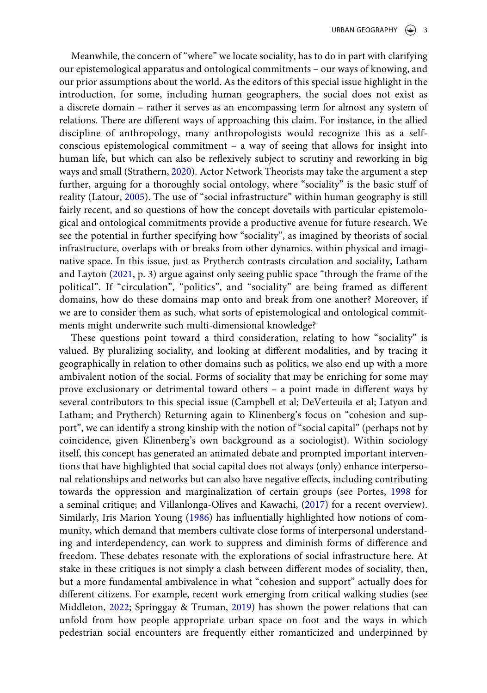<span id="page-3-3"></span><span id="page-3-0"></span>Meanwhile, the concern of "where" we locate sociality, has to do in part with clarifying our epistemological apparatus and ontological commitments – our ways of knowing, and our prior assumptions about the world. As the editors of this special issue highlight in the introduction, for some, including human geographers, the social does not exist as a discrete domain – rather it serves as an encompassing term for almost any system of relations. There are different ways of approaching this claim. For instance, in the allied discipline of anthropology, many anthropologists would recognize this as a selfconscious epistemological commitment – a way of seeing that allows for insight into human life, but which can also be reflexively subject to scrutiny and reworking in big ways and small (Strathern, [2020\)](#page-7-4). Actor Network Theorists may take the argument a step further, arguing for a thoroughly social ontology, where "sociality" is the basic stuff of reality (Latour, [2005](#page-7-5)). The use of "social infrastructure" within human geography is still fairly recent, and so questions of how the concept dovetails with particular epistemological and ontological commitments provide a productive avenue for future research. We see the potential in further specifying how "sociality", as imagined by theorists of social infrastructure, overlaps with or breaks from other dynamics, within physical and imaginative space. In this issue, just as Prytherch contrasts circulation and sociality, Latham and Layton [\(2021](#page-7-1), p. 3) argue against only seeing public space "through the frame of the political". If "circulation", "politics", and "sociality" are being framed as different domains, how do these domains map onto and break from one another? Moreover, if we are to consider them as such, what sorts of epistemological and ontological commitments might underwrite such multi-dimensional knowledge?

<span id="page-3-5"></span><span id="page-3-4"></span><span id="page-3-2"></span><span id="page-3-1"></span>These questions point toward a third consideration, relating to how "sociality" is valued. By pluralizing sociality, and looking at different modalities, and by tracing it geographically in relation to other domains such as politics, we also end up with a more ambivalent notion of the social. Forms of sociality that may be enriching for some may prove exclusionary or detrimental toward others – a point made in different ways by several contributors to this special issue (Campbell et al; DeVerteuila et al; Latyon and Latham; and Prytherch) Returning again to Klinenberg's focus on "cohesion and support", we can identify a strong kinship with the notion of "social capital" (perhaps not by coincidence, given Klinenberg's own background as a sociologist). Within sociology itself, this concept has generated an animated debate and prompted important interventions that have highlighted that social capital does not always (only) enhance interpersonal relationships and networks but can also have negative effects, including contributing towards the oppression and marginalization of certain groups (see Portes, [1998](#page-7-6) for a seminal critique; and Villanlonga-Olives and Kawachi, [\(2017](#page-7-7)) for a recent overview). Similarly, Iris Marion Young ([1986\)](#page-7-8) has influentially highlighted how notions of community, which demand that members cultivate close forms of interpersonal understanding and interdependency, can work to suppress and diminish forms of difference and freedom. These debates resonate with the explorations of social infrastructure here. At stake in these critiques is not simply a clash between different modes of sociality, then, but a more fundamental ambivalence in what "cohesion and support" actually does for different citizens. For example, recent work emerging from critical walking studies (see Middleton, [2022;](#page-7-9) Springgay & Truman, [2019\)](#page-7-10) has shown the power relations that can unfold from how people appropriate urban space on foot and the ways in which pedestrian social encounters are frequently either romanticized and underpinned by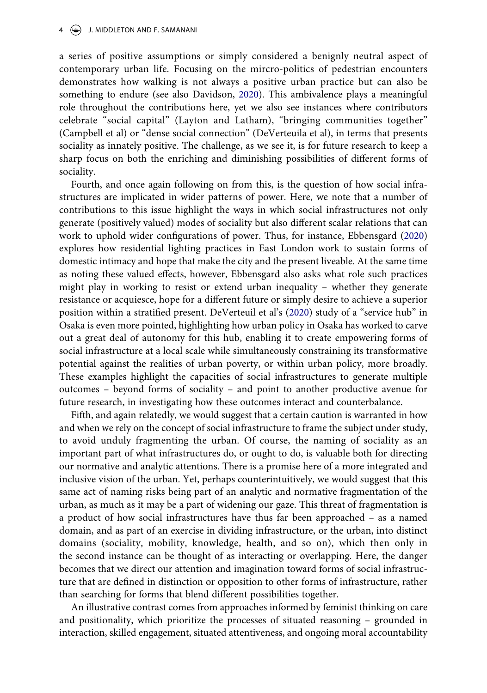<span id="page-4-0"></span>a series of positive assumptions or simply considered a benignly neutral aspect of contemporary urban life. Focusing on the mircro-politics of pedestrian encounters demonstrates how walking is not always a positive urban practice but can also be something to endure (see also Davidson, [2020](#page-7-11)). This ambivalence plays a meaningful role throughout the contributions here, yet we also see instances where contributors celebrate "social capital" (Layton and Latham), "bringing communities together" (Campbell et al) or "dense social connection" (DeVerteuila et al), in terms that presents sociality as innately positive. The challenge, as we see it, is for future research to keep a sharp focus on both the enriching and diminishing possibilities of different forms of sociality.

Fourth, and once again following on from this, is the question of how social infrastructures are implicated in wider patterns of power. Here, we note that a number of contributions to this issue highlight the ways in which social infrastructures not only generate (positively valued) modes of sociality but also different scalar relations that can work to uphold wider configurations of power. Thus, for instance, Ebbensgard [\(2020\)](#page-7-2) explores how residential lighting practices in East London work to sustain forms of domestic intimacy and hope that make the city and the present liveable. At the same time as noting these valued effects, however, Ebbensgard also asks what role such practices might play in working to resist or extend urban inequality – whether they generate resistance or acquiesce, hope for a different future or simply desire to achieve a superior position within a stratified present. DeVerteuil et al's ([2020](#page-7-3)) study of a "service hub" in Osaka is even more pointed, highlighting how urban policy in Osaka has worked to carve out a great deal of autonomy for this hub, enabling it to create empowering forms of social infrastructure at a local scale while simultaneously constraining its transformative potential against the realities of urban poverty, or within urban policy, more broadly. These examples highlight the capacities of social infrastructures to generate multiple outcomes – beyond forms of sociality – and point to another productive avenue for future research, in investigating how these outcomes interact and counterbalance.

Fifth, and again relatedly, we would suggest that a certain caution is warranted in how and when we rely on the concept of social infrastructure to frame the subject under study, to avoid unduly fragmenting the urban. Of course, the naming of sociality as an important part of what infrastructures do, or ought to do, is valuable both for directing our normative and analytic attentions. There is a promise here of a more integrated and inclusive vision of the urban. Yet, perhaps counterintuitively, we would suggest that this same act of naming risks being part of an analytic and normative fragmentation of the urban, as much as it may be a part of widening our gaze. This threat of fragmentation is a product of how social infrastructures have thus far been approached – as a named domain, and as part of an exercise in dividing infrastructure, or the urban, into distinct domains (sociality, mobility, knowledge, health, and so on), which then only in the second instance can be thought of as interacting or overlapping. Here, the danger becomes that we direct our attention and imagination toward forms of social infrastructure that are defined in distinction or opposition to other forms of infrastructure, rather than searching for forms that blend different possibilities together.

<span id="page-4-1"></span>An illustrative contrast comes from approaches informed by feminist thinking on care and positionality, which prioritize the processes of situated reasoning – grounded in interaction, skilled engagement, situated attentiveness, and ongoing moral accountability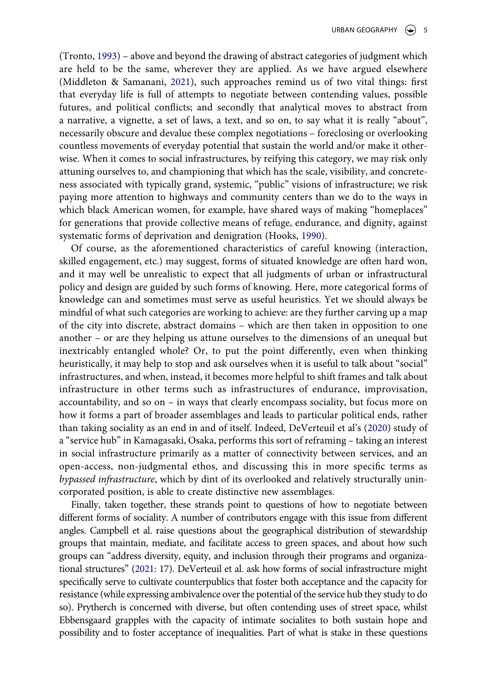<span id="page-5-2"></span>(Tronto, [1993](#page-7-12)) – above and beyond the drawing of abstract categories of judgment which are held to be the same, wherever they are applied. As we have argued elsewhere (Middleton & Samanani, [2021](#page-7-13)), such approaches remind us of two vital things: first that everyday life is full of attempts to negotiate between contending values, possible futures, and political conflicts; and secondly that analytical moves to abstract from a narrative, a vignette, a set of laws, a text, and so on, to say what it is really "about", necessarily obscure and devalue these complex negotiations – foreclosing or overlooking countless movements of everyday potential that sustain the world and/or make it otherwise. When it comes to social infrastructures, by reifying this category, we may risk only attuning ourselves to, and championing that which has the scale, visibility, and concreteness associated with typically grand, systemic, "public" visions of infrastructure; we risk paying more attention to highways and community centers than we do to the ways in which black American women, for example, have shared ways of making "homeplaces" for generations that provide collective means of refuge, endurance, and dignity, against systematic forms of deprivation and denigration (Hooks, [1990\)](#page-7-14).

<span id="page-5-1"></span>Of course, as the aforementioned characteristics of careful knowing (interaction, skilled engagement, etc.) may suggest, forms of situated knowledge are often hard won, and it may well be unrealistic to expect that all judgments of urban or infrastructural policy and design are guided by such forms of knowing. Here, more categorical forms of knowledge can and sometimes must serve as useful heuristics. Yet we should always be mindful of what such categories are working to achieve: are they further carving up a map of the city into discrete, abstract domains – which are then taken in opposition to one another – or are they helping us attune ourselves to the dimensions of an unequal but inextricably entangled whole? Or, to put the point differently, even when thinking heuristically, it may help to stop and ask ourselves when it is useful to talk about "social" infrastructures, and when, instead, it becomes more helpful to shift frames and talk about infrastructure in other terms such as infrastructures of endurance, improvisation, accountability, and so on – in ways that clearly encompass sociality, but focus more on how it forms a part of broader assemblages and leads to particular political ends, rather than taking sociality as an end in and of itself. Indeed, DeVerteuil et al's [\(2020\)](#page-7-3) study of a "service hub" in Kamagasaki, Osaka, performs this sort of reframing – taking an interest in social infrastructure primarily as a matter of connectivity between services, and an open-access, non-judgmental ethos, and discussing this in more specific terms as *bypassed infrastructure*, which by dint of its overlooked and relatively structurally unincorporated position, is able to create distinctive new assemblages.

<span id="page-5-0"></span>Finally, taken together, these strands point to questions of how to negotiate between different forms of sociality. A number of contributors engage with this issue from different angles. Campbell et al. raise questions about the geographical distribution of stewardship groups that maintain, mediate, and facilitate access to green spaces, and about how such groups can "address diversity, equity, and inclusion through their programs and organizational structures" ([2021](#page-7-15): 17). DeVerteuil et al. ask how forms of social infrastructure might specifically serve to cultivate counterpublics that foster both acceptance and the capacity for resistance (while expressing ambivalence over the potential of the service hub they study to do so). Prytherch is concerned with diverse, but often contending uses of street space, whilst Ebbensgaard grapples with the capacity of intimate socialites to both sustain hope and possibility and to foster acceptance of inequalities. Part of what is stake in these questions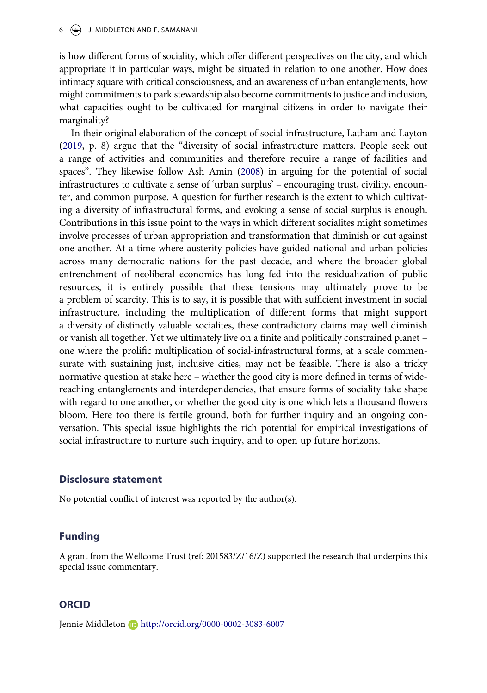is how different forms of sociality, which offer different perspectives on the city, and which appropriate it in particular ways, might be situated in relation to one another. How does intimacy square with critical consciousness, and an awareness of urban entanglements, how might commitments to park stewardship also become commitments to justice and inclusion, what capacities ought to be cultivated for marginal citizens in order to navigate their marginality?

<span id="page-6-1"></span><span id="page-6-0"></span>In their original elaboration of the concept of social infrastructure, Latham and Layton ([2019](#page-7-16), p. 8) argue that the "diversity of social infrastructure matters. People seek out a range of activities and communities and therefore require a range of facilities and spaces". They likewise follow Ash Amin ([2008\)](#page-7-17) in arguing for the potential of social infrastructures to cultivate a sense of 'urban surplus' – encouraging trust, civility, encounter, and common purpose. A question for further research is the extent to which cultivating a diversity of infrastructural forms, and evoking a sense of social surplus is enough. Contributions in this issue point to the ways in which different socialites might sometimes involve processes of urban appropriation and transformation that diminish or cut against one another. At a time where austerity policies have guided national and urban policies across many democratic nations for the past decade, and where the broader global entrenchment of neoliberal economics has long fed into the residualization of public resources, it is entirely possible that these tensions may ultimately prove to be a problem of scarcity. This is to say, it is possible that with sufficient investment in social infrastructure, including the multiplication of different forms that might support a diversity of distinctly valuable socialites, these contradictory claims may well diminish or vanish all together. Yet we ultimately live on a finite and politically constrained planet – one where the prolific multiplication of social-infrastructural forms, at a scale commensurate with sustaining just, inclusive cities, may not be feasible. There is also a tricky normative question at stake here – whether the good city is more defined in terms of widereaching entanglements and interdependencies, that ensure forms of sociality take shape with regard to one another, or whether the good city is one which lets a thousand flowers bloom. Here too there is fertile ground, both for further inquiry and an ongoing conversation. This special issue highlights the rich potential for empirical investigations of social infrastructure to nurture such inquiry, and to open up future horizons.

#### **Disclosure statement**

No potential conflict of interest was reported by the author(s).

## **Funding**

A grant from the Wellcome Trust (ref: 201583/Z/16/Z) supported the research that underpins this special issue commentary.

# **ORCID**

Jennie Middleton D http://orcid.org/0000-0002-3083-6007